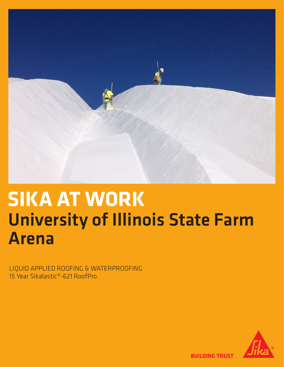

# University of Illinois State Farm Arena **SIKA AT WORK**

LIQUID APPLIED ROOFING & WATERPROOFING 15 Year Sikalastic®-621 RoofPro



**BUILDING TRUST**